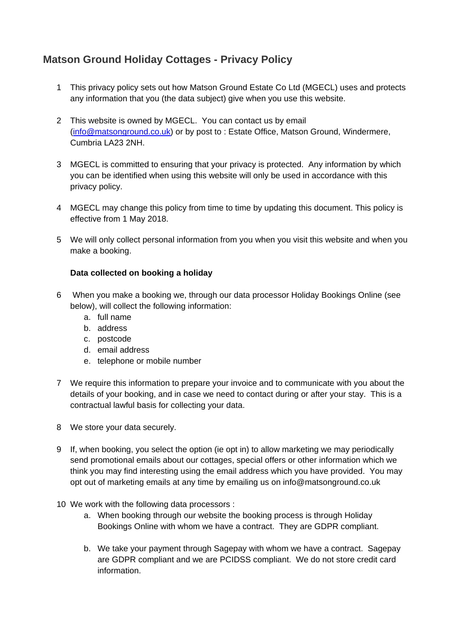# **Matson Ground Holiday Cottages - Privacy Policy**

- 1 This privacy policy sets out how Matson Ground Estate Co Ltd (MGECL) uses and protects any information that you (the data subject) give when you use this website.
- 2 This website is owned by MGECL. You can contact us by email (info@matsonground.co.uk) or by post to : Estate Office, Matson Ground, Windermere, Cumbria LA23 2NH.
- 3 MGECL is committed to ensuring that your privacy is protected. Any information by which you can be identified when using this website will only be used in accordance with this privacy policy.
- 4 MGECL may change this policy from time to time by updating this document. This policy is effective from 1 May 2018.
- 5 We will only collect personal information from you when you visit this website and when you make a booking.

## **Data collected on booking a holiday**

- 6 When you make a booking we, through our data processor Holiday Bookings Online (see below), will collect the following information:
	- a. full name
	- b. address
	- c. postcode
	- d. email address
	- e. telephone or mobile number
- 7 We require this information to prepare your invoice and to communicate with you about the details of your booking, and in case we need to contact during or after your stay. This is a contractual lawful basis for collecting your data.
- 8 We store your data securely.
- 9 If, when booking, you select the option (ie opt in) to allow marketing we may periodically send promotional emails about our cottages, special offers or other information which we think you may find interesting using the email address which you have provided. You may opt out of marketing emails at any time by emailing us on info@matsonground.co.uk
- 10 We work with the following data processors :
	- a. When booking through our website the booking process is through Holiday Bookings Online with whom we have a contract. They are GDPR compliant.
	- b. We take your payment through Sagepay with whom we have a contract. Sagepay are GDPR compliant and we are PCIDSS compliant. We do not store credit card information.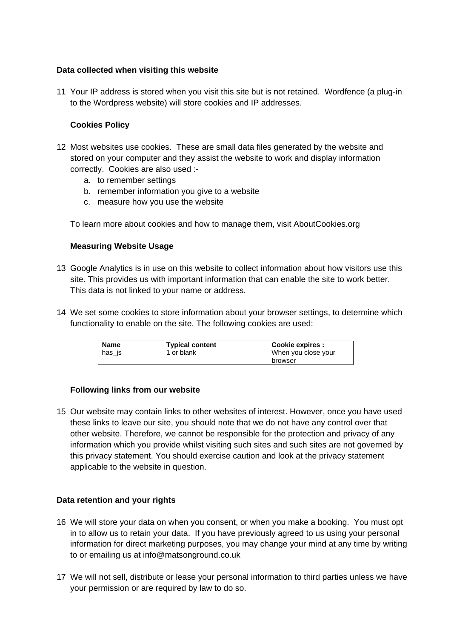## **Data collected when visiting this website**

11 Your IP address is stored when you visit this site but is not retained. Wordfence (a plug-in to the Wordpress website) will store cookies and IP addresses.

## **Cookies Policy**

- 12 Most websites use cookies. These are small data files generated by the website and stored on your computer and they assist the website to work and display information correctly. Cookies are also used :
	- a. to remember settings
	- b. remember information you give to a website
	- c. measure how you use the website

To learn more about cookies and how to manage them, visit AboutCookies.org

### **Measuring Website Usage**

- 13 Google Analytics is in use on this website to collect information about how visitors use this site. This provides us with important information that can enable the site to work better. This data is not linked to your name or address.
- 14 We set some cookies to store information about your browser settings, to determine which functionality to enable on the site. The following cookies are used:

| Name     | <b>Typical content</b> | Cookie expires :    |
|----------|------------------------|---------------------|
| ∣ has is | 1 or blank             | When you close your |
|          |                        | browser             |

### **Following links from our website**

15 Our website may contain links to other websites of interest. However, once you have used these links to leave our site, you should note that we do not have any control over that other website. Therefore, we cannot be responsible for the protection and privacy of any information which you provide whilst visiting such sites and such sites are not governed by this privacy statement. You should exercise caution and look at the privacy statement applicable to the website in question.

### **Data retention and your rights**

- 16 We will store your data on when you consent, or when you make a booking. You must opt in to allow us to retain your data. If you have previously agreed to us using your personal information for direct marketing purposes, you may change your mind at any time by writing to or emailing us at info@matsonground.co.uk
- 17 We will not sell, distribute or lease your personal information to third parties unless we have your permission or are required by law to do so.